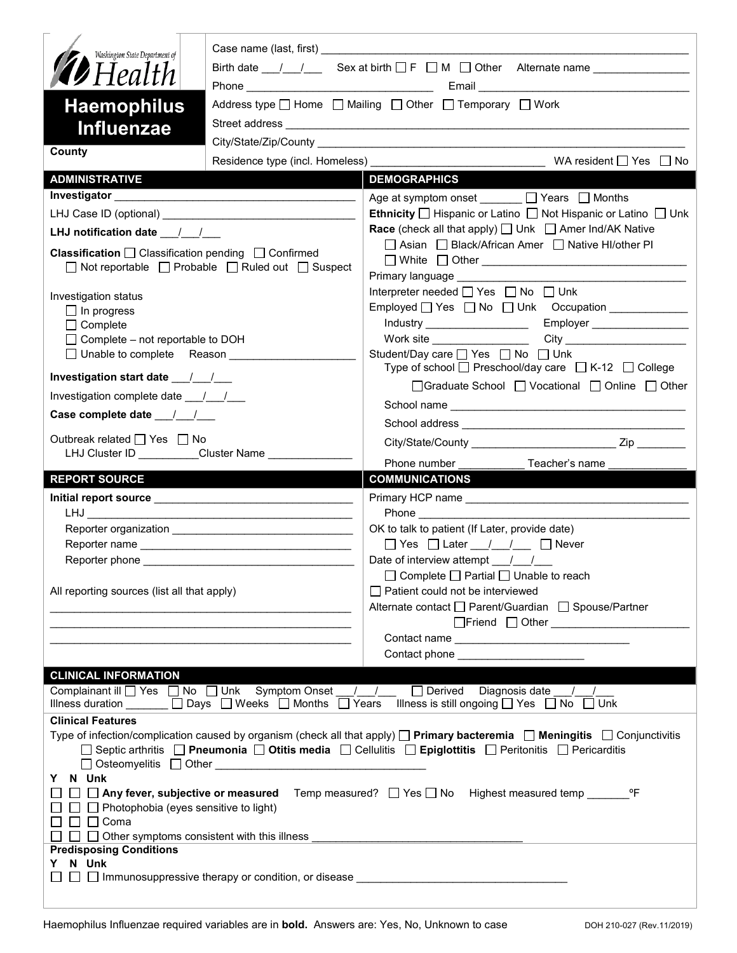| Washington State Department of                                                                                                |                                                                                                                                                                                                                                                      |  |  |  |  |
|-------------------------------------------------------------------------------------------------------------------------------|------------------------------------------------------------------------------------------------------------------------------------------------------------------------------------------------------------------------------------------------------|--|--|--|--|
| <b>D</b> Health                                                                                                               |                                                                                                                                                                                                                                                      |  |  |  |  |
| <b>Haemophilus</b>                                                                                                            | Address type $\Box$ Home $\Box$ Mailing $\Box$ Other $\Box$ Temporary $\Box$ Work                                                                                                                                                                    |  |  |  |  |
|                                                                                                                               |                                                                                                                                                                                                                                                      |  |  |  |  |
| <b>Influenzae</b>                                                                                                             |                                                                                                                                                                                                                                                      |  |  |  |  |
| County                                                                                                                        |                                                                                                                                                                                                                                                      |  |  |  |  |
| <b>ADMINISTRATIVE</b>                                                                                                         | <b>DEMOGRAPHICS</b>                                                                                                                                                                                                                                  |  |  |  |  |
|                                                                                                                               | Age at symptom onset $\Box$ Years $\Box$ Months                                                                                                                                                                                                      |  |  |  |  |
|                                                                                                                               | <b>Ethnicity</b> $\Box$ Hispanic or Latino $\Box$ Not Hispanic or Latino $\Box$ Unk                                                                                                                                                                  |  |  |  |  |
| LHJ notification date 11                                                                                                      | <b>Race</b> (check all that apply) □ Unk □ Amer Ind/AK Native                                                                                                                                                                                        |  |  |  |  |
| <b>Classification</b> $\Box$ Classification pending $\Box$ Confirmed                                                          | □ Asian □ Black/African Amer □ Native HI/other PI                                                                                                                                                                                                    |  |  |  |  |
| $\Box$ Not reportable $\Box$ Probable $\Box$ Ruled out $\Box$ Suspect                                                         |                                                                                                                                                                                                                                                      |  |  |  |  |
|                                                                                                                               | Primary language ___________<br>Interpreter needed [ Yes   No   Unk                                                                                                                                                                                  |  |  |  |  |
| Investigation status                                                                                                          | Employed $\Box$ Yes $\Box$ No $\Box$ Unk Occupation                                                                                                                                                                                                  |  |  |  |  |
| $\Box$ In progress<br>$\Box$ Complete                                                                                         | Industry ____________________<br>Employer __________________                                                                                                                                                                                         |  |  |  |  |
| $\Box$ Complete – not reportable to DOH                                                                                       | Work site $\_\_$                                                                                                                                                                                                                                     |  |  |  |  |
| □ Unable to complete Reason                                                                                                   | Student/Day care <u>Sine Student</u> /Day on Business Disk                                                                                                                                                                                           |  |  |  |  |
| Investigation start date 11                                                                                                   | Type of school $\Box$ Preschool/day care $\Box$ K-12 $\Box$ College                                                                                                                                                                                  |  |  |  |  |
| Investigation complete date 11/1                                                                                              | □Graduate School □ Vocational □ Online □ Other                                                                                                                                                                                                       |  |  |  |  |
| Case complete date $\frac{1}{\sqrt{1-\frac{1}{2}}}$                                                                           |                                                                                                                                                                                                                                                      |  |  |  |  |
|                                                                                                                               |                                                                                                                                                                                                                                                      |  |  |  |  |
| Outbreak related □ Yes □ No<br>LHJ Cluster ID _________Cluster Name ___________                                               |                                                                                                                                                                                                                                                      |  |  |  |  |
|                                                                                                                               | Phone number _______________Teacher's name ____________                                                                                                                                                                                              |  |  |  |  |
|                                                                                                                               |                                                                                                                                                                                                                                                      |  |  |  |  |
| <b>REPORT SOURCE</b>                                                                                                          | <b>COMMUNICATIONS</b>                                                                                                                                                                                                                                |  |  |  |  |
|                                                                                                                               |                                                                                                                                                                                                                                                      |  |  |  |  |
| <b>LHJ</b><br><u> 1989 - Johann Barbara, martin da kasar Amerikaan (h. 1982).</u>                                             |                                                                                                                                                                                                                                                      |  |  |  |  |
|                                                                                                                               | OK to talk to patient (If Later, provide date)                                                                                                                                                                                                       |  |  |  |  |
|                                                                                                                               | $\Box$ Yes $\Box$ Later / / $\Box$ Never                                                                                                                                                                                                             |  |  |  |  |
|                                                                                                                               |                                                                                                                                                                                                                                                      |  |  |  |  |
|                                                                                                                               | $\Box$ Complete $\Box$ Partial $\Box$ Unable to reach                                                                                                                                                                                                |  |  |  |  |
| All reporting sources (list all that apply)                                                                                   | Patient could not be interviewed<br>Alternate contact □ Parent/Guardian □ Spouse/Partner                                                                                                                                                             |  |  |  |  |
|                                                                                                                               | □Friend □ Other <u>____________________</u>                                                                                                                                                                                                          |  |  |  |  |
|                                                                                                                               |                                                                                                                                                                                                                                                      |  |  |  |  |
|                                                                                                                               | Contact phone _______________________                                                                                                                                                                                                                |  |  |  |  |
| <b>CLINICAL INFORMATION</b>                                                                                                   |                                                                                                                                                                                                                                                      |  |  |  |  |
| Complainant ill U Yes INo Unk Symptom Onset   / /                                                                             | Derived Diagnosis date / /                                                                                                                                                                                                                           |  |  |  |  |
| Illness duration $\Box$ Days $\Box$ Weeks $\Box$ Months $\Box$ Years Illness is still ongoing $\Box$ Yes $\Box$ No $\Box$ Unk |                                                                                                                                                                                                                                                      |  |  |  |  |
| <b>Clinical Features</b>                                                                                                      |                                                                                                                                                                                                                                                      |  |  |  |  |
|                                                                                                                               | Type of infection/complication caused by organism (check all that apply) $\Box$ Primary bacteremia $\Box$ Meningitis $\Box$ Conjunctivitis<br>□ Septic arthritis □ Pneumonia □ Otitis media □ Cellulitis □ Epiglottitis □ Peritonitis □ Pericarditis |  |  |  |  |
|                                                                                                                               |                                                                                                                                                                                                                                                      |  |  |  |  |
| Y N Unk                                                                                                                       |                                                                                                                                                                                                                                                      |  |  |  |  |
|                                                                                                                               | □ □ Any fever, subjective or measured Temp measured? □ Yes □ No Highest measured temp<br>$^{\circ}$ F                                                                                                                                                |  |  |  |  |
| $\Box$ Photophobia (eyes sensitive to light)                                                                                  |                                                                                                                                                                                                                                                      |  |  |  |  |
| $\Box$ $\Box$ Coma<br>$\Box$ $\Box$ Other symptoms consistent with this illness                                               |                                                                                                                                                                                                                                                      |  |  |  |  |
| <b>Predisposing Conditions</b>                                                                                                |                                                                                                                                                                                                                                                      |  |  |  |  |
| Y N Unk                                                                                                                       |                                                                                                                                                                                                                                                      |  |  |  |  |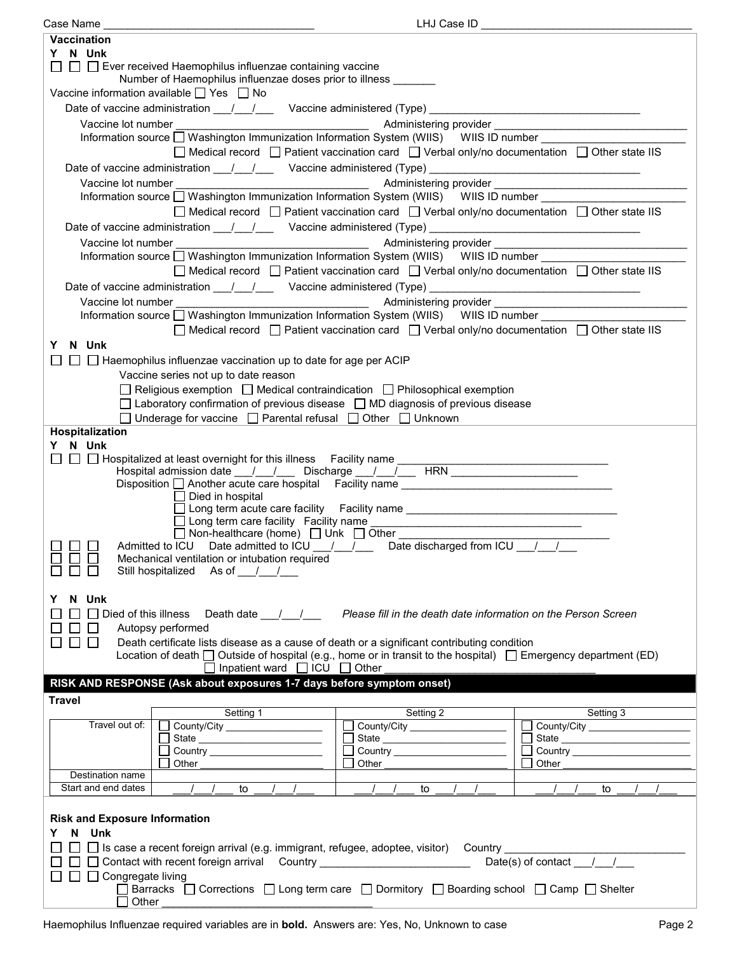| Case Name                                                                                                                | LHJ Case ID                                                                                                      |                                                           |  |  |  |
|--------------------------------------------------------------------------------------------------------------------------|------------------------------------------------------------------------------------------------------------------|-----------------------------------------------------------|--|--|--|
| <b>Vaccination</b>                                                                                                       |                                                                                                                  |                                                           |  |  |  |
| Y N Unk                                                                                                                  |                                                                                                                  |                                                           |  |  |  |
| $\Box$ Ever received Haemophilus influenzae containing vaccine                                                           |                                                                                                                  |                                                           |  |  |  |
| Number of Haemophilus influenzae doses prior to illness _______                                                          |                                                                                                                  |                                                           |  |  |  |
| Vaccine information available $\Box$ Yes $\Box$ No                                                                       |                                                                                                                  |                                                           |  |  |  |
|                                                                                                                          |                                                                                                                  |                                                           |  |  |  |
| Date of vaccine administration ____/ ___/ ____ Vaccine administered (Type) __________________________________            |                                                                                                                  |                                                           |  |  |  |
|                                                                                                                          |                                                                                                                  |                                                           |  |  |  |
|                                                                                                                          |                                                                                                                  |                                                           |  |  |  |
|                                                                                                                          |                                                                                                                  |                                                           |  |  |  |
|                                                                                                                          | $\Box$ Medical record $\Box$ Patient vaccination card $\Box$ Verbal only/no documentation $\Box$ Other state IIS |                                                           |  |  |  |
| Date of vaccine administration 11/2000 Vaccine administered (Type) 2008. [2010]                                          |                                                                                                                  |                                                           |  |  |  |
|                                                                                                                          |                                                                                                                  |                                                           |  |  |  |
| Information source Nashington Immunization Information System (WIIS) WIIS ID number                                      |                                                                                                                  |                                                           |  |  |  |
|                                                                                                                          | □ Medical record □ Patient vaccination card □ Verbal only/no documentation □ Other state IIS                     |                                                           |  |  |  |
|                                                                                                                          |                                                                                                                  |                                                           |  |  |  |
|                                                                                                                          |                                                                                                                  |                                                           |  |  |  |
|                                                                                                                          |                                                                                                                  |                                                           |  |  |  |
| Information source Washington Immunization Information System (WIIS) WIIS ID number                                      |                                                                                                                  |                                                           |  |  |  |
|                                                                                                                          | $\Box$ Medical record $\Box$ Patient vaccination card $\Box$ Verbal only/no documentation $\Box$ Other state IIS |                                                           |  |  |  |
|                                                                                                                          |                                                                                                                  |                                                           |  |  |  |
|                                                                                                                          |                                                                                                                  |                                                           |  |  |  |
| Vaccine lot number                                                                                                       |                                                                                                                  |                                                           |  |  |  |
| Information source □ Washington Immunization Information System (WIIS) WIIS ID number ___________                        |                                                                                                                  |                                                           |  |  |  |
|                                                                                                                          | □ Medical record □ Patient vaccination card □ Verbal only/no documentation □ Other state IIS                     |                                                           |  |  |  |
| N Unk<br>Y                                                                                                               |                                                                                                                  |                                                           |  |  |  |
|                                                                                                                          |                                                                                                                  |                                                           |  |  |  |
| $\Box$ Haemophilus influenzae vaccination up to date for age per ACIP                                                    |                                                                                                                  |                                                           |  |  |  |
| Vaccine series not up to date reason                                                                                     |                                                                                                                  |                                                           |  |  |  |
| $\Box$ Religious exemption $\Box$ Medical contraindication $\Box$ Philosophical exemption                                |                                                                                                                  |                                                           |  |  |  |
| $\Box$ Laboratory confirmation of previous disease $\Box$ MD diagnosis of previous disease                               |                                                                                                                  |                                                           |  |  |  |
| $\Box$ Underage for vaccine $\Box$ Parental refusal $\Box$ Other $\Box$ Unknown                                          |                                                                                                                  |                                                           |  |  |  |
|                                                                                                                          |                                                                                                                  |                                                           |  |  |  |
| <b>Hospitalization</b>                                                                                                   |                                                                                                                  |                                                           |  |  |  |
| Y N Unk                                                                                                                  |                                                                                                                  |                                                           |  |  |  |
| □ □ Hospitalized at least overnight for this illness Facility name ____<br>$\mathsf{L}$                                  |                                                                                                                  | <u> 1999 - Johann John Barn, mars and deutscher Stadt</u> |  |  |  |
| Hospital admission date __/__/___ Discharge __/__/___ HRN ______________________                                         |                                                                                                                  |                                                           |  |  |  |
| Disposition □ Another acute care hospital Facility name _________________________                                        |                                                                                                                  |                                                           |  |  |  |
| $\Box$ Died in hospital                                                                                                  |                                                                                                                  |                                                           |  |  |  |
|                                                                                                                          | □ Long term acute care facility Facility name __________________________________                                 |                                                           |  |  |  |
|                                                                                                                          |                                                                                                                  |                                                           |  |  |  |
| □ Non-healthcare (home) □ Unk □ Other _________                                                                          |                                                                                                                  |                                                           |  |  |  |
| Admitted to ICU Date admitted to ICU 1 1 2 Date discharged from ICU 1 2                                                  |                                                                                                                  |                                                           |  |  |  |
| Mechanical ventilation or intubation required                                                                            |                                                                                                                  |                                                           |  |  |  |
| П<br>Still hospitalized As of / /                                                                                        |                                                                                                                  |                                                           |  |  |  |
|                                                                                                                          |                                                                                                                  |                                                           |  |  |  |
| N Unk<br>Y                                                                                                               |                                                                                                                  |                                                           |  |  |  |
|                                                                                                                          |                                                                                                                  |                                                           |  |  |  |
| $\Box$ Died of this illness<br>Death date $\frac{1}{\sqrt{2}}$                                                           | Please fill in the death date information on the Person Screen                                                   |                                                           |  |  |  |
| Autopsy performed                                                                                                        |                                                                                                                  |                                                           |  |  |  |
| Death certificate lists disease as a cause of death or a significant contributing condition<br>$\perp$                   |                                                                                                                  |                                                           |  |  |  |
| Location of death $\Box$ Outside of hospital (e.g., home or in transit to the hospital) $\Box$ Emergency department (ED) |                                                                                                                  |                                                           |  |  |  |
| $\Box$ Inpatient ward $\Box$ ICU $\Box$ Other                                                                            |                                                                                                                  |                                                           |  |  |  |
| RISK AND RESPONSE (Ask about exposures 1-7 days before symptom onset)                                                    |                                                                                                                  |                                                           |  |  |  |
|                                                                                                                          |                                                                                                                  |                                                           |  |  |  |
| <b>Travel</b>                                                                                                            |                                                                                                                  |                                                           |  |  |  |
| Setting 1                                                                                                                | Setting 2                                                                                                        | Setting 3                                                 |  |  |  |
| Travel out of:<br>County/City                                                                                            |                                                                                                                  |                                                           |  |  |  |
|                                                                                                                          | State                                                                                                            | $\mathsf{L}$<br>State                                     |  |  |  |
|                                                                                                                          |                                                                                                                  |                                                           |  |  |  |
| Other                                                                                                                    | Other                                                                                                            | Other                                                     |  |  |  |
| Destination name                                                                                                         |                                                                                                                  |                                                           |  |  |  |
| Start and end dates<br>$\sqrt{2}$<br>to<br>$\sqrt{1}$                                                                    | $\frac{1}{2}$<br>$\sqrt{1}$<br>to                                                                                | $\frac{1}{2}$<br>$\sqrt{2}$<br>to                         |  |  |  |
|                                                                                                                          |                                                                                                                  |                                                           |  |  |  |
|                                                                                                                          |                                                                                                                  |                                                           |  |  |  |
| <b>Risk and Exposure Information</b>                                                                                     |                                                                                                                  |                                                           |  |  |  |
| Y N Unk                                                                                                                  |                                                                                                                  |                                                           |  |  |  |
| □ Is case a recent foreign arrival (e.g. immigrant, refugee, adoptee, visitor) Country __________________                |                                                                                                                  |                                                           |  |  |  |
| Date(s) of contact $1/7$<br>□ Contact with recent foreign arrival Country ________________________                       |                                                                                                                  |                                                           |  |  |  |
| □ Congregate living                                                                                                      |                                                                                                                  |                                                           |  |  |  |
| Barracks $\Box$ Corrections $\Box$ Long term care $\Box$ Dormitory $\Box$ Boarding school $\Box$ Camp $\Box$ Shelter     |                                                                                                                  |                                                           |  |  |  |
| Other                                                                                                                    |                                                                                                                  |                                                           |  |  |  |
|                                                                                                                          |                                                                                                                  |                                                           |  |  |  |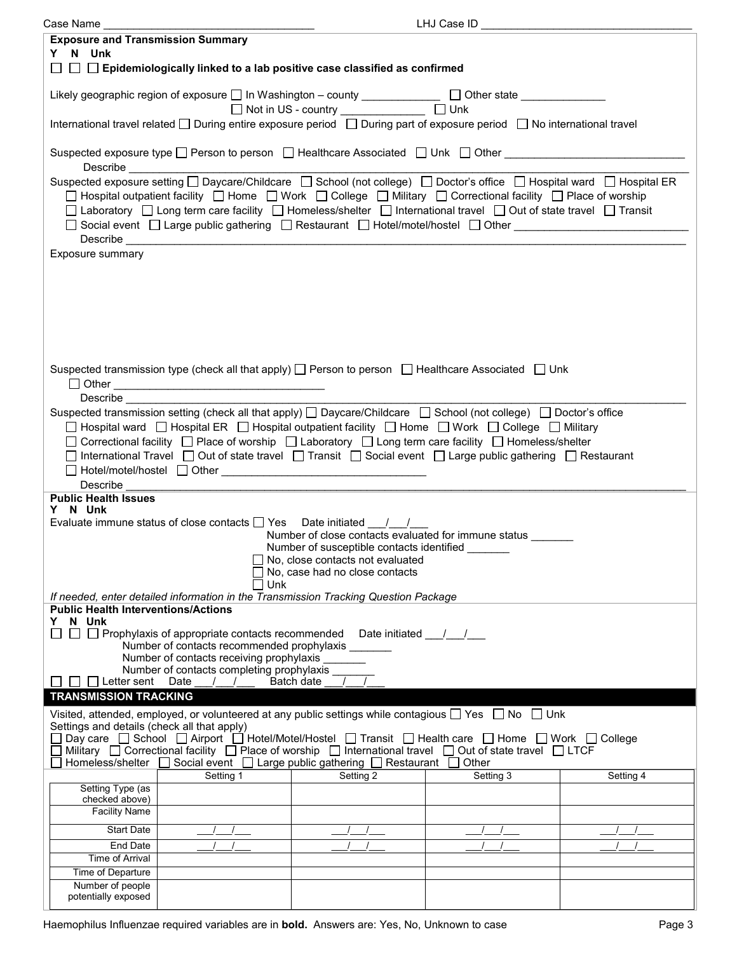| Case Name                                                                                                                                                                                                                                                                                                                                                                                                                                                                                                                                                                                  |                                                      | LHJ Case ID |           |  |  |  |
|--------------------------------------------------------------------------------------------------------------------------------------------------------------------------------------------------------------------------------------------------------------------------------------------------------------------------------------------------------------------------------------------------------------------------------------------------------------------------------------------------------------------------------------------------------------------------------------------|------------------------------------------------------|-------------|-----------|--|--|--|
| <b>Exposure and Transmission Summary</b>                                                                                                                                                                                                                                                                                                                                                                                                                                                                                                                                                   |                                                      |             |           |  |  |  |
| Y N Unk                                                                                                                                                                                                                                                                                                                                                                                                                                                                                                                                                                                    |                                                      |             |           |  |  |  |
| □ □ Epidemiologically linked to a lab positive case classified as confirmed                                                                                                                                                                                                                                                                                                                                                                                                                                                                                                                |                                                      |             |           |  |  |  |
| Likely geographic region of exposure □ In Washington – county ______________ □ Other state _____________                                                                                                                                                                                                                                                                                                                                                                                                                                                                                   | □ Not in US - country _______________ □ Unk          |             |           |  |  |  |
| International travel related □ During entire exposure period □ During part of exposure period □ No international travel                                                                                                                                                                                                                                                                                                                                                                                                                                                                    |                                                      |             |           |  |  |  |
| Suspected exposure type □ Person to person □ Healthcare Associated □ Unk □ Other _____________________________<br>Describe the contract of the contract of the contract of the contract of the contract of the contract of the contract of the contract of the contract of the contract of the contract of the contract of the contract of the c                                                                                                                                                                                                                                           |                                                      |             |           |  |  |  |
| Suspected exposure setting □ Daycare/Childcare □ School (not college) □ Doctor's office □ Hospital ward □ Hospital ER<br>□ Hospital outpatient facility □ Home □ Work □ College □ Military □ Correctional facility □ Place of worship<br>□ Laboratory □ Long term care facility □ Homeless/shelter □ International travel □ Out of state travel □ Transit<br>□ Social event □ Large public gathering □ Restaurant □ Hotel/motel/hostel □ Other National Accordination National Accordination National Accordination National Accordination National Accordination National Accordination N |                                                      |             |           |  |  |  |
| Exposure summary                                                                                                                                                                                                                                                                                                                                                                                                                                                                                                                                                                           |                                                      |             |           |  |  |  |
|                                                                                                                                                                                                                                                                                                                                                                                                                                                                                                                                                                                            |                                                      |             |           |  |  |  |
|                                                                                                                                                                                                                                                                                                                                                                                                                                                                                                                                                                                            |                                                      |             |           |  |  |  |
|                                                                                                                                                                                                                                                                                                                                                                                                                                                                                                                                                                                            |                                                      |             |           |  |  |  |
| Suspected transmission type (check all that apply) $\Box$ Person to person $\Box$ Healthcare Associated $\Box$ Unk                                                                                                                                                                                                                                                                                                                                                                                                                                                                         |                                                      |             |           |  |  |  |
|                                                                                                                                                                                                                                                                                                                                                                                                                                                                                                                                                                                            |                                                      |             |           |  |  |  |
| <b>Describe</b><br>Suspected transmission setting (check all that apply) $\Box$ Daycare/Childcare $\Box$ School (not college) $\Box$ Doctor's office                                                                                                                                                                                                                                                                                                                                                                                                                                       |                                                      |             |           |  |  |  |
| □ Hospital ward □ Hospital ER □ Hospital outpatient facility □ Home □ Work □ College □ Military                                                                                                                                                                                                                                                                                                                                                                                                                                                                                            |                                                      |             |           |  |  |  |
| □ Correctional facility □ Place of worship □ Laboratory □ Long term care facility □ Homeless/shelter                                                                                                                                                                                                                                                                                                                                                                                                                                                                                       |                                                      |             |           |  |  |  |
| □ International Travel □ Out of state travel □ Transit □ Social event □ Large public gathering □ Restaurant                                                                                                                                                                                                                                                                                                                                                                                                                                                                                |                                                      |             |           |  |  |  |
|                                                                                                                                                                                                                                                                                                                                                                                                                                                                                                                                                                                            |                                                      |             |           |  |  |  |
| Describe                                                                                                                                                                                                                                                                                                                                                                                                                                                                                                                                                                                   |                                                      |             |           |  |  |  |
| <b>Public Health Issues</b>                                                                                                                                                                                                                                                                                                                                                                                                                                                                                                                                                                |                                                      |             |           |  |  |  |
| Y N Unk                                                                                                                                                                                                                                                                                                                                                                                                                                                                                                                                                                                    |                                                      |             |           |  |  |  |
| Evaluate immune status of close contacts $\Box$ Yes Date initiated $\Box$                                                                                                                                                                                                                                                                                                                                                                                                                                                                                                                  |                                                      |             |           |  |  |  |
|                                                                                                                                                                                                                                                                                                                                                                                                                                                                                                                                                                                            | Number of close contacts evaluated for immune status |             |           |  |  |  |
|                                                                                                                                                                                                                                                                                                                                                                                                                                                                                                                                                                                            | Number of susceptible contacts identified            |             |           |  |  |  |
|                                                                                                                                                                                                                                                                                                                                                                                                                                                                                                                                                                                            | $\Box$ No, close contacts not evaluated              |             |           |  |  |  |
|                                                                                                                                                                                                                                                                                                                                                                                                                                                                                                                                                                                            | No, case had no close contacts<br>Unk                |             |           |  |  |  |
| If needed, enter detailed information in the Transmission Tracking Question Package                                                                                                                                                                                                                                                                                                                                                                                                                                                                                                        |                                                      |             |           |  |  |  |
| <b>Public Health Interventions/Actions</b>                                                                                                                                                                                                                                                                                                                                                                                                                                                                                                                                                 |                                                      |             |           |  |  |  |
| N Unk<br>Y.                                                                                                                                                                                                                                                                                                                                                                                                                                                                                                                                                                                |                                                      |             |           |  |  |  |
| $\Box$ Prophylaxis of appropriate contacts recommended Date initiated ___/___/<br>Number of contacts recommended prophylaxis                                                                                                                                                                                                                                                                                                                                                                                                                                                               |                                                      |             |           |  |  |  |
|                                                                                                                                                                                                                                                                                                                                                                                                                                                                                                                                                                                            |                                                      |             |           |  |  |  |
| Number of contacts receiving prophylaxis<br>Number of contacts completing prophylaxis                                                                                                                                                                                                                                                                                                                                                                                                                                                                                                      |                                                      |             |           |  |  |  |
| Letter sent<br>Batch date<br>Date<br>$\sqrt{1}$<br>$\frac{1}{2}$                                                                                                                                                                                                                                                                                                                                                                                                                                                                                                                           |                                                      |             |           |  |  |  |
| <b>TRANSMISSION TRACKING</b>                                                                                                                                                                                                                                                                                                                                                                                                                                                                                                                                                               |                                                      |             |           |  |  |  |
| Visited, attended, employed, or volunteered at any public settings while contagious $\Box$ Yes $\Box$ No $\Box$ Unk                                                                                                                                                                                                                                                                                                                                                                                                                                                                        |                                                      |             |           |  |  |  |
| Settings and details (check all that apply)                                                                                                                                                                                                                                                                                                                                                                                                                                                                                                                                                |                                                      |             |           |  |  |  |
| Day care □ School □ Airport □ Hotel/Motel/Hostel □ Transit □ Health care □ Home □ Work □ College                                                                                                                                                                                                                                                                                                                                                                                                                                                                                           |                                                      |             |           |  |  |  |
| Military $\Box$ Correctional facility $\Box$ Place of worship $\Box$ International travel $\Box$ Out of state travel $\Box$ LTCF<br>Homeless/shelter $\Box$ Social event $\Box$ Large public gathering $\Box$ Restaurant $\Box$ Other                                                                                                                                                                                                                                                                                                                                                      |                                                      |             |           |  |  |  |
| Setting 1                                                                                                                                                                                                                                                                                                                                                                                                                                                                                                                                                                                  | Setting 2                                            | Setting 3   | Setting 4 |  |  |  |
| Setting Type (as                                                                                                                                                                                                                                                                                                                                                                                                                                                                                                                                                                           |                                                      |             |           |  |  |  |
| checked above)                                                                                                                                                                                                                                                                                                                                                                                                                                                                                                                                                                             |                                                      |             |           |  |  |  |
| <b>Facility Name</b>                                                                                                                                                                                                                                                                                                                                                                                                                                                                                                                                                                       |                                                      |             |           |  |  |  |
| <b>Start Date</b>                                                                                                                                                                                                                                                                                                                                                                                                                                                                                                                                                                          |                                                      |             |           |  |  |  |
| End Date                                                                                                                                                                                                                                                                                                                                                                                                                                                                                                                                                                                   |                                                      |             |           |  |  |  |
| Time of Arrival                                                                                                                                                                                                                                                                                                                                                                                                                                                                                                                                                                            |                                                      |             |           |  |  |  |
| Time of Departure                                                                                                                                                                                                                                                                                                                                                                                                                                                                                                                                                                          |                                                      |             |           |  |  |  |
| Number of people                                                                                                                                                                                                                                                                                                                                                                                                                                                                                                                                                                           |                                                      |             |           |  |  |  |
| potentially exposed                                                                                                                                                                                                                                                                                                                                                                                                                                                                                                                                                                        |                                                      |             |           |  |  |  |
|                                                                                                                                                                                                                                                                                                                                                                                                                                                                                                                                                                                            |                                                      |             |           |  |  |  |